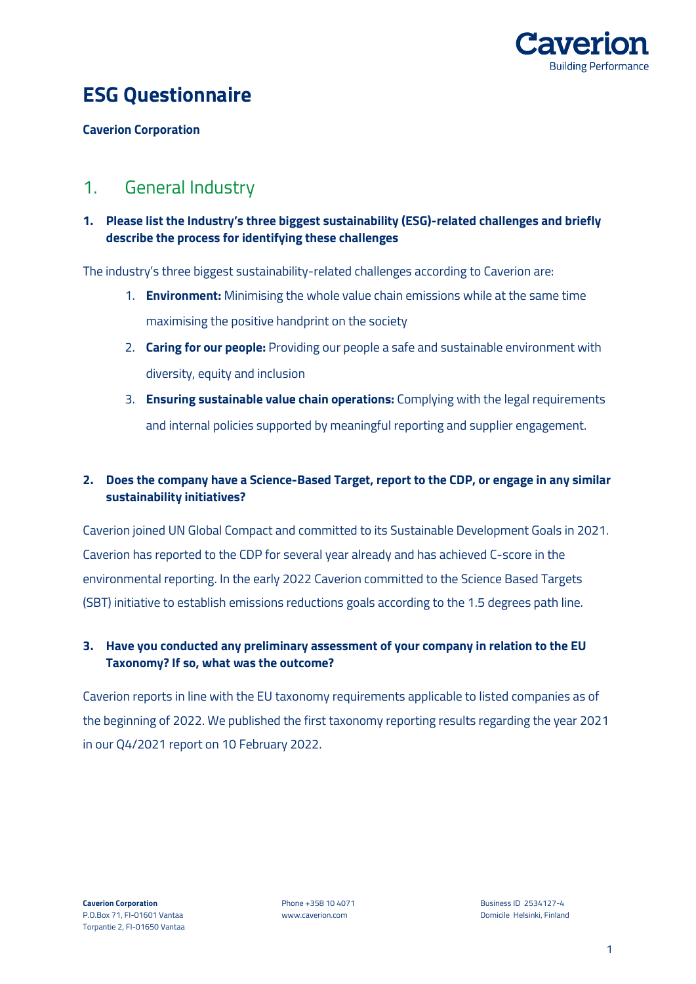

# **ESG Questionnaire**

**Caverion Corporation**

## 1. General Industry

### **1. Please list the Industry's three biggest sustainability (ESG)-related challenges and briefly describe the process for identifying these challenges**

The industry's three biggest sustainability-related challenges according to Caverion are:

- 1. **Environment:** Minimising the whole value chain emissions while at the same time maximising the positive handprint on the society
- 2. **Caring for our people:** Providing our people a safe and sustainable environment with diversity, equity and inclusion
- 3. **Ensuring sustainable value chain operations:** Complying with the legal requirements and internal policies supported by meaningful reporting and supplier engagement.

### **2. Does the company have a Science-Based Target, report to the CDP, or engage in any similar sustainability initiatives?**

Caverion joined UN Global Compact and committed to its Sustainable Development Goals in 2021. Caverion has reported to the CDP for several year already and has achieved C-score in the environmental reporting. In the early 2022 Caverion committed to the Science Based Targets (SBT) initiative to establish emissions reductions goals according to the 1.5 degrees path line.

### **3. Have you conducted any preliminary assessment of your company in relation to the EU Taxonomy? If so, what was the outcome?**

Caverion reports in line with the EU taxonomy requirements applicable to listed companies as of the beginning of 2022. We published the first taxonomy reporting results regarding the year 2021 in our Q4/2021 report on 10 February 2022.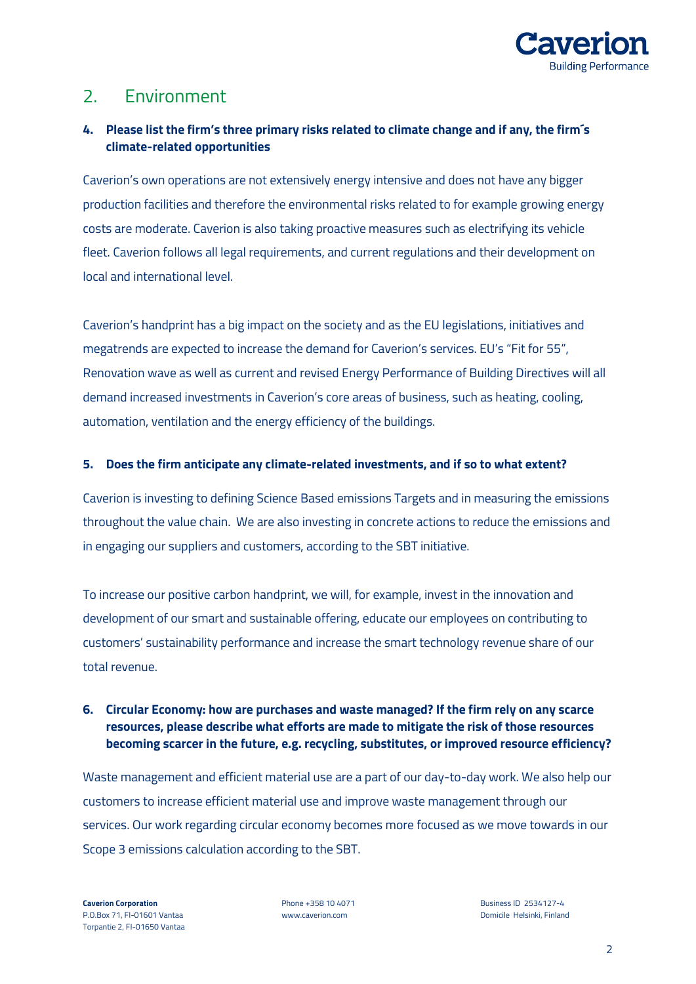

## 2. Environment

## **4. Please list the firm's three primary risks related to climate change and if any, the firm´s climate-related opportunities**

Caverion's own operations are not extensively energy intensive and does not have any bigger production facilities and therefore the environmental risks related to for example growing energy costs are moderate. Caverion is also taking proactive measures such as electrifying its vehicle fleet. Caverion follows all legal requirements, and current regulations and their development on local and international level.

Caverion's handprint has a big impact on the society and as the EU legislations, initiatives and megatrends are expected to increase the demand for Caverion's services. EU's "Fit for 55", Renovation wave as well as current and revised Energy Performance of Building Directives will all demand increased investments in Caverion's core areas of business, such as heating, cooling, automation, ventilation and the energy efficiency of the buildings.

#### **5. Does the firm anticipate any climate-related investments, and if so to what extent?**

Caverion is investing to defining Science Based emissions Targets and in measuring the emissions throughout the value chain. We are also investing in concrete actions to reduce the emissions and in engaging our suppliers and customers, according to the SBT initiative.

To increase our positive carbon handprint, we will, for example, invest in the innovation and development of our smart and sustainable offering, educate our employees on contributing to customers' sustainability performance and increase the smart technology revenue share of our total revenue.

### **6. Circular Economy: how are purchases and waste managed? If the firm rely on any scarce resources, please describe what efforts are made to mitigate the risk of those resources becoming scarcer in the future, e.g. recycling, substitutes, or improved resource efficiency?**

Waste management and efficient material use are a part of our day-to-day work. We also help our customers to increase efficient material use and improve waste management through our services. Our work regarding circular economy becomes more focused as we move towards in our Scope 3 emissions calculation according to the SBT.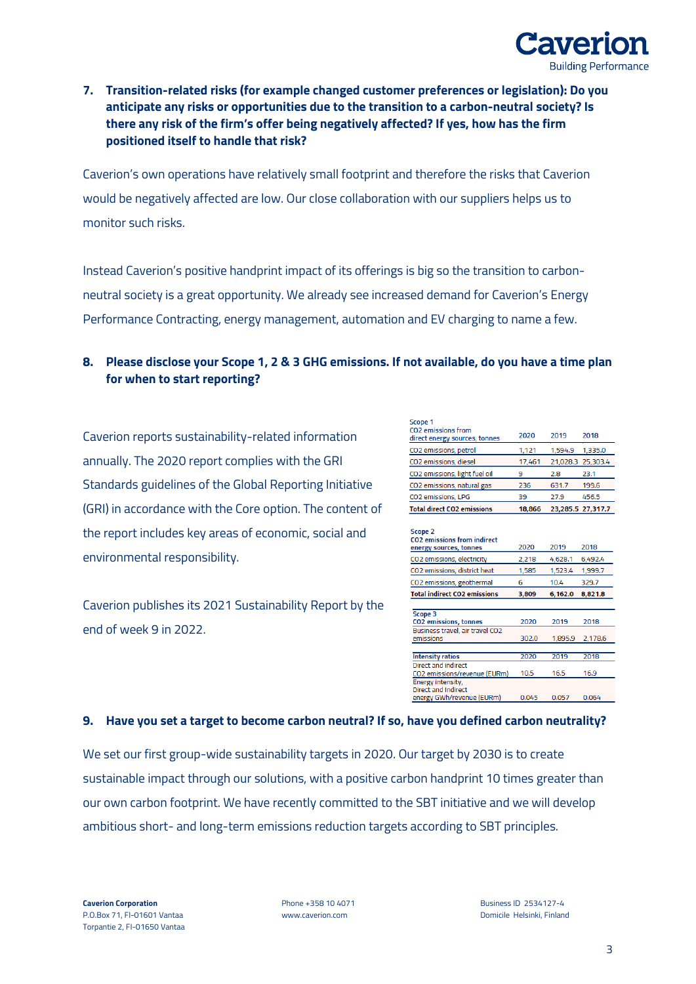

### **7. Transition-related risks (for example changed customer preferences or legislation): Do you anticipate any risks or opportunities due to the transition to a carbon-neutral society? Is there any risk of the firm's offer being negatively affected? If yes, how has the firm positioned itself to handle that risk?**

Caverion's own operations have relatively small footprint and therefore the risks that Caverion would be negatively affected are low. Our close collaboration with our suppliers helps us to monitor such risks.

Instead Caverion's positive handprint impact of its offerings is big so the transition to carbonneutral society is a great opportunity. We already see increased demand for Caverion's Energy Performance Contracting, energy management, automation and EV charging to name a few.

### **8. Please disclose your Scope 1, 2 & 3 GHG emissions. If not available, do you have a time plan for when to start reporting?**

Caverion reports sustainability-related information annually. The 2020 report complies with the GRI Standards guidelines of the Global Reporting Initiative (GRI) in accordance with the Core option. The content of the report includes key areas of economic, social and environmental responsibility.

Caverion publishes its 2021 Sustainability Report by the end of week 9 in 2022.

| Scope 1<br><b>CO2</b> emissions from |        |         |                   |
|--------------------------------------|--------|---------|-------------------|
| direct energy sources, tonnes        | 2020   | 2019    | 2018              |
| CO2 emissions, petrol                | 1,121  | 1.594.9 | 1,335.0           |
| CO2 emissions, diesel                | 17,461 |         | 21,028.3 25,303.4 |
| CO2 emissions, light fuel oil        | 9      | 2.8     | 23.1              |
| CO2 emissions, natural gas           | 236    | 631.7   | 199.6             |
| CO2 emissions, LPG                   | 39     | 27.9    | 456.5             |
| <b>Total direct CO2 emissions</b>    | 18,866 |         | 23,285.5 27,317.7 |

| Scope 2                            |  |
|------------------------------------|--|
| <b>CO2</b> emissions from indirect |  |

| <b>CO2</b> emissions from indirect  |       |         |         |
|-------------------------------------|-------|---------|---------|
| energy sources, tonnes              | 2020  | 2019    | 2018    |
| CO2 emissions, electricity          | 2,218 | 4,628.1 | 6,492.4 |
| CO2 emissions, district heat        | 1,585 | 1,523.4 | 1,999.7 |
| CO2 emissions, geothermal           | 6     | 10.4    | 329.7   |
| <b>Total indirect CO2 emissions</b> | 3,809 | 6,162.0 | 8,821.8 |
|                                     |       |         |         |
| Scope 3                             |       |         |         |
| <b>CO2</b> emissions, tonnes        | 2020  | 2019    | 2018    |
| Business travel, air travel CO2     |       |         |         |
| emissions                           | 302.0 | 1,895.9 | 2,178.6 |
|                                     |       |         |         |
| <b>Intensity ratios</b>             | 2020  | 2019    | 2018    |
| Direct and indirect                 |       |         |         |
| CO2 emissions/revenue (EURm)        | 10.5  | 16.5    | 16.9    |
| Energy intensity,                   |       |         |         |
| Direct and Indirect                 |       |         |         |
| energy GWh/revenue (EURm)           | 0.045 | 0.057   | 0.064   |
|                                     |       |         |         |

#### **9. Have you set a target to become carbon neutral? If so, have you defined carbon neutrality?**

We set our first group-wide sustainability targets in 2020. Our target by 2030 is to create sustainable impact through our solutions, with a positive carbon handprint 10 times greater than our own carbon footprint. We have recently committed to the SBT initiative and we will develop ambitious short- and long-term emissions reduction targets according to SBT principles.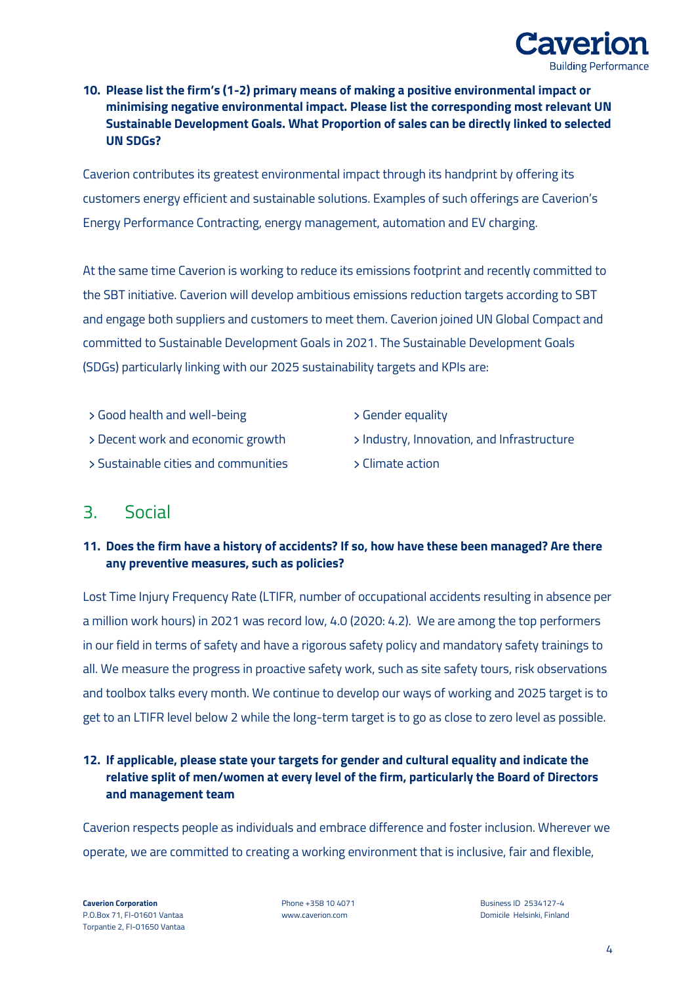

### **10. Please list the firm's (1-2) primary means of making a positive environmental impact or minimising negative environmental impact. Please list the corresponding most relevant UN Sustainable Development Goals. What Proportion of sales can be directly linked to selected UN SDGs?**

Caverion contributes its greatest environmental impact through its handprint by offering its customers energy efficient and sustainable solutions. Examples of such offerings are Caverion's Energy Performance Contracting, energy management, automation and EV charging.

At the same time Caverion is working to reduce its emissions footprint and recently committed to the SBT initiative. Caverion will develop ambitious emissions reduction targets according to SBT and engage both suppliers and customers to meet them. Caverion joined UN Global Compact and committed to Sustainable Development Goals in 2021. The Sustainable Development Goals (SDGs) particularly linking with our 2025 sustainability targets and KPIs are:

- ﴿ Good health and well-being ﴿ Gender equality
- 
- ﴿ Sustainable cities and communities ﴿ Climate action
- 
- ﴿ Decent work and economic growth ﴿ Industry, Innovation, and Infrastructure
	-

## 3. Social

## **11. Does the firm have a history of accidents? If so, how have these been managed? Are there any preventive measures, such as policies?**

Lost Time Injury Frequency Rate (LTIFR, number of occupational accidents resulting in absence per a million work hours) in 2021 was record low, 4.0 (2020: 4.2). We are among the top performers in our field in terms of safety and have a rigorous safety policy and mandatory safety trainings to all. We measure the progress in proactive safety work, such as site safety tours, risk observations and toolbox talks every month. We continue to develop our ways of working and 2025 target is to get to an LTIFR level below 2 while the long-term target is to go as close to zero level as possible.

### **12. If applicable, please state your targets for gender and cultural equality and indicate the relative split of men/women at every level of the firm, particularly the Board of Directors and management team**

Caverion respects people as individuals and embrace difference and foster inclusion. Wherever we operate, we are committed to creating a working environment that is inclusive, fair and flexible,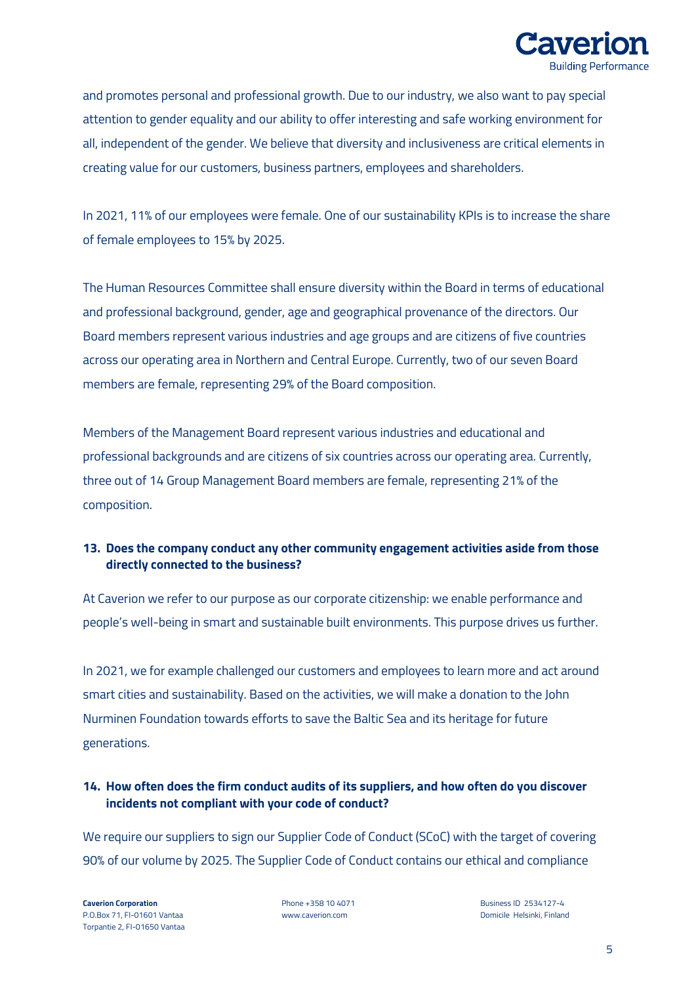

and promotes personal and professional growth. Due to our industry, we also want to pay special attention to gender equality and our ability to offer interesting and safe working environment for all, independent of the gender. We believe that diversity and inclusiveness are critical elements in creating value for our customers, business partners, employees and shareholders.

In 2021, 11% of our employees were female. One of our sustainability KPIs is to increase the share of female employees to 15% by 2025.

The Human Resources Committee shall ensure diversity within the Board in terms of educational and professional background, gender, age and geographical provenance of the directors. Our Board members represent various industries and age groups and are citizens of five countries across our operating area in Northern and Central Europe. Currently, two of our seven Board members are female, representing 29% of the Board composition.

Members of the Management Board represent various industries and educational and professional backgrounds and are citizens of six countries across our operating area. Currently, three out of 14 Group Management Board members are female, representing 21% of the composition.

### **13. Does the company conduct any other community engagement activities aside from those directly connected to the business?**

At Caverion we refer to our purpose as our corporate citizenship: we enable performance and people's well-being in smart and sustainable built environments. This purpose drives us further.

In 2021, we for example challenged our customers and employees to learn more and act around smart cities and sustainability. Based on the activities, we will make a donation to the John Nurminen Foundation towards efforts to save the Baltic Sea and its heritage for future generations.

### **14. How often does the firm conduct audits of its suppliers, and how often do you discover incidents not compliant with your code of conduct?**

We require our suppliers to sign our Supplier Code of Conduct (SCoC) with the target of covering 90% of our volume by 2025. The Supplier Code of Conduct contains our ethical and compliance

P.O.Box 71, FI-01601 Vantaa www.caverion.com Domicile Helsinki, Finland Torpantie 2, FI-01650 Vantaa

**Caverion Corporation Corporation Phone +358 10 4071 Business ID 2534127-4**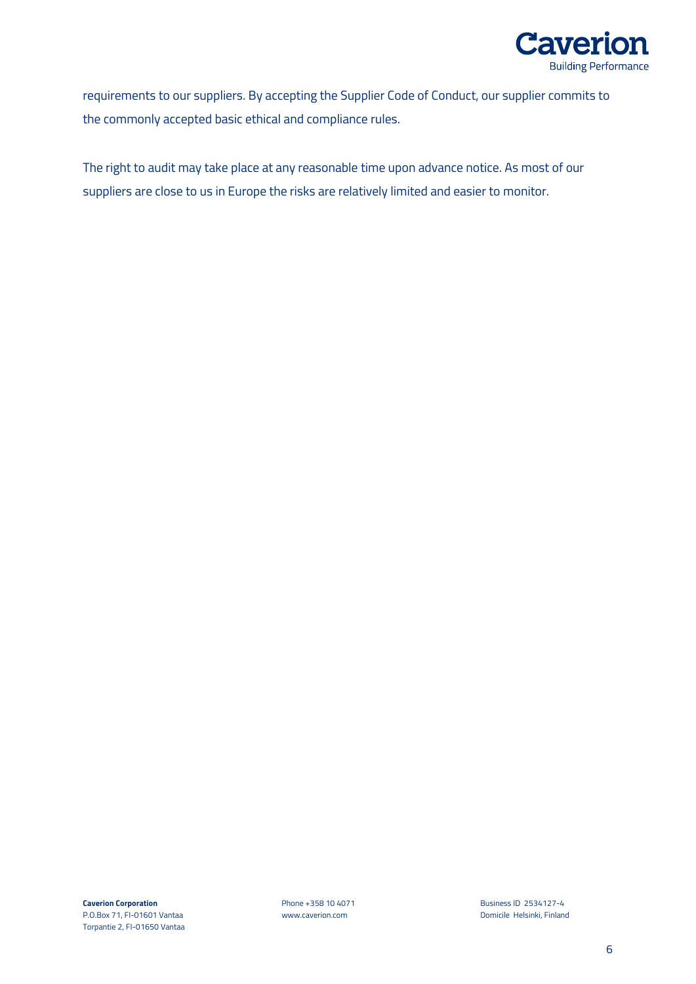

requirements to our suppliers. By accepting the Supplier Code of Conduct, our supplier commits to the commonly accepted basic ethical and compliance rules.

The right to audit may take place at any reasonable time upon advance notice. As most of our suppliers are close to us in Europe the risks are relatively limited and easier to monitor.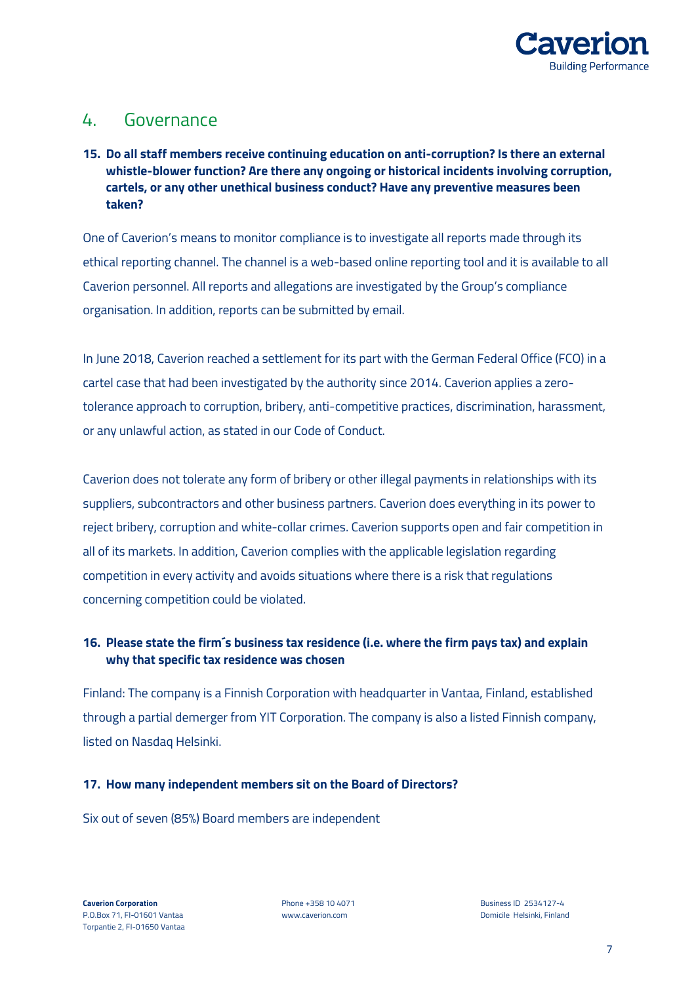

## 4. Governance

#### **15. Do all staff members receive continuing education on anti-corruption? Is there an external whistle-blower function? Are there any ongoing or historical incidents involving corruption, cartels, or any other unethical business conduct? Have any preventive measures been taken?**

One of Caverion's means to monitor compliance is to investigate all reports made through its ethical reporting channel. The channel is a web-based online reporting tool and it is available to all Caverion personnel. All reports and allegations are investigated by the Group's compliance organisation. In addition, reports can be submitted by email.

In June 2018, Caverion reached a settlement for its part with the German Federal Office (FCO) in a cartel case that had been investigated by the authority since 2014. Caverion applies a zerotolerance approach to corruption, bribery, anti-competitive practices, discrimination, harassment, or any unlawful action, as stated in our Code of Conduct.

Caverion does not tolerate any form of bribery or other illegal payments in relationships with its suppliers, subcontractors and other business partners. Caverion does everything in its power to reject bribery, corruption and white-collar crimes. Caverion supports open and fair competition in all of its markets. In addition, Caverion complies with the applicable legislation regarding competition in every activity and avoids situations where there is a risk that regulations concerning competition could be violated.

### **16. Please state the firm´s business tax residence (i.e. where the firm pays tax) and explain why that specific tax residence was chosen**

Finland: The company is a Finnish Corporation with headquarter in Vantaa, Finland, established through a partial demerger from YIT Corporation. The company is also a listed Finnish company, listed on Nasdaq Helsinki.

#### **17. How many independent members sit on the Board of Directors?**

Six out of seven (85%) Board members are independent